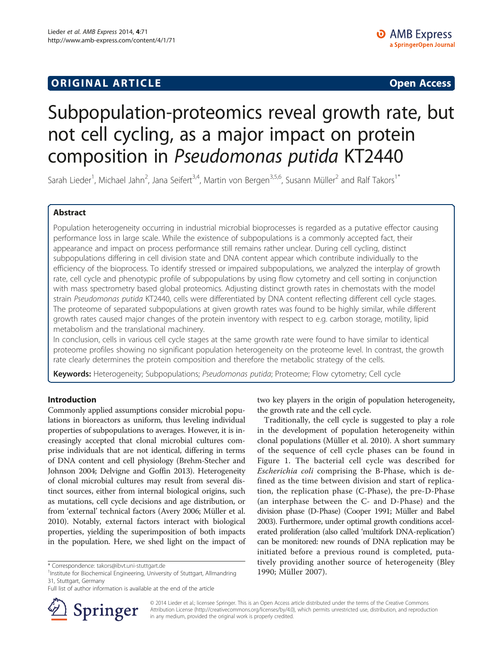## **ORIGINAL ARTICLE CONSUMING A LIGACION CONSUMING A LIGACION CONSUMING A LIGACION**

# Subpopulation-proteomics reveal growth rate, but not cell cycling, as a major impact on protein composition in Pseudomonas putida KT2440

Sarah Lieder<sup>1</sup>, Michael Jahn<sup>2</sup>, Jana Seifert<sup>3,4</sup>, Martin von Bergen<sup>3,5,6</sup>, Susann Müller<sup>2</sup> and Ralf Takors<sup>1\*</sup>

## Abstract

Population heterogeneity occurring in industrial microbial bioprocesses is regarded as a putative effector causing performance loss in large scale. While the existence of subpopulations is a commonly accepted fact, their appearance and impact on process performance still remains rather unclear. During cell cycling, distinct subpopulations differing in cell division state and DNA content appear which contribute individually to the efficiency of the bioprocess. To identify stressed or impaired subpopulations, we analyzed the interplay of growth rate, cell cycle and phenotypic profile of subpopulations by using flow cytometry and cell sorting in conjunction with mass spectrometry based global proteomics. Adjusting distinct growth rates in chemostats with the model strain Pseudomonas putida KT2440, cells were differentiated by DNA content reflecting different cell cycle stages. The proteome of separated subpopulations at given growth rates was found to be highly similar, while different growth rates caused major changes of the protein inventory with respect to e.g. carbon storage, motility, lipid metabolism and the translational machinery.

In conclusion, cells in various cell cycle stages at the same growth rate were found to have similar to identical proteome profiles showing no significant population heterogeneity on the proteome level. In contrast, the growth rate clearly determines the protein composition and therefore the metabolic strategy of the cells.

Keywords: Heterogeneity; Subpopulations; Pseudomonas putida; Proteome; Flow cytometry; Cell cycle

## Introduction

Commonly applied assumptions consider microbial populations in bioreactors as uniform, thus leveling individual properties of subpopulations to averages. However, it is increasingly accepted that clonal microbial cultures comprise individuals that are not identical, differing in terms of DNA content and cell physiology (Brehm-Stecher and Johnson [2004;](#page-8-0) Delvigne and Goffin [2013](#page-8-0)). Heterogeneity of clonal microbial cultures may result from several distinct sources, either from internal biological origins, such as mutations, cell cycle decisions and age distribution, or from 'external' technical factors (Avery [2006;](#page-8-0) Müller et al. [2010\)](#page-9-0). Notably, external factors interact with biological properties, yielding the superimposition of both impacts in the population. Here, we shed light on the impact of

Full list of author information is available at the end of the article



two key players in the origin of population heterogeneity, the growth rate and the cell cycle.

Traditionally, the cell cycle is suggested to play a role in the development of population heterogeneity within clonal populations (Müller et al. [2010](#page-9-0)). A short summary of the sequence of cell cycle phases can be found in Figure [1.](#page-1-0) The bacterial cell cycle was described for Escherichia coli comprising the B-Phase, which is defined as the time between division and start of replication, the replication phase (C-Phase), the pre-D-Phase (an interphase between the C- and D-Phase) and the division phase (D-Phase) (Cooper [1991](#page-8-0); Müller and Babel [2003](#page-9-0)). Furthermore, under optimal growth conditions accelerated proliferation (also called 'multifork DNA-replication') can be monitored: new rounds of DNA replication may be initiated before a previous round is completed, putatively providing another source of heterogeneity (Bley

© 2014 Lieder et al.; licensee Springer. This is an Open Access article distributed under the terms of the Creative Commons Attribution License [\(http://creativecommons.org/licenses/by/4.0\)](http://creativecommons.org/licenses/by/4.0), which permits unrestricted use, distribution, and reproduction in any medium, provided the original work is properly credited.

<sup>\*</sup> Correspondence: [takors@ibvt.uni-stuttgart.de](mailto:takors@ibvt.uni-stuttgart.de)<br><sup>1</sup>Institute for Biochemical Engineering, University of Stuttgart, Allmandring **[1990;](#page-8-0) Müller [2007\)](#page-9-0)**. 31, Stuttgart, Germany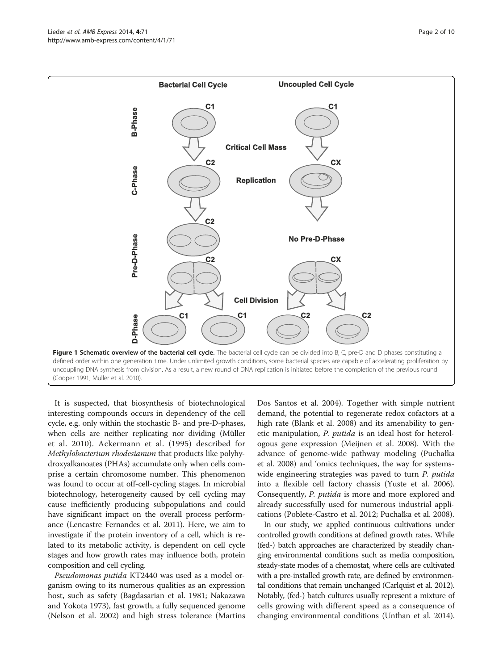<span id="page-1-0"></span>

It is suspected, that biosynthesis of biotechnological interesting compounds occurs in dependency of the cell cycle, e.g. only within the stochastic B- and pre-D-phases, when cells are neither replicating nor dividing (Müller et al. [2010\)](#page-9-0). Ackermann et al. ([1995\)](#page-8-0) described for Methylobacterium rhodesianum that products like polyhydroxyalkanoates (PHAs) accumulate only when cells comprise a certain chromosome number. This phenomenon was found to occur at off-cell-cycling stages. In microbial biotechnology, heterogeneity caused by cell cycling may cause inefficiently producing subpopulations and could have significant impact on the overall process performance (Lencastre Fernandes et al. [2011](#page-9-0)). Here, we aim to investigate if the protein inventory of a cell, which is related to its metabolic activity, is dependent on cell cycle stages and how growth rates may influence both, protein composition and cell cycling.

Pseudomonas putida KT2440 was used as a model organism owing to its numerous qualities as an expression host, such as safety (Bagdasarian et al. [1981](#page-8-0); Nakazawa and Yokota [1973\)](#page-9-0), fast growth, a fully sequenced genome (Nelson et al. [2002\)](#page-9-0) and high stress tolerance (Martins Dos Santos et al. [2004](#page-9-0)). Together with simple nutrient demand, the potential to regenerate redox cofactors at a high rate (Blank et al. [2008](#page-8-0)) and its amenability to genetic manipulation, P. putida is an ideal host for heterologous gene expression (Meijnen et al. [2008\)](#page-9-0). With the advance of genome-wide pathway modeling (Puchałka et al. [2008](#page-9-0)) and 'omics techniques, the way for systemswide engineering strategies was paved to turn P. putida into a flexible cell factory chassis (Yuste et al. [2006](#page-9-0)). Consequently, P. putida is more and more explored and already successfully used for numerous industrial applications (Poblete-Castro et al. [2012;](#page-9-0) Puchałka et al. [2008\)](#page-9-0).

In our study, we applied continuous cultivations under controlled growth conditions at defined growth rates. While (fed-) batch approaches are characterized by steadily changing environmental conditions such as media composition, steady-state modes of a chemostat, where cells are cultivated with a pre-installed growth rate, are defined by environmental conditions that remain unchanged (Carlquist et al. [2012](#page-8-0)). Notably, (fed-) batch cultures usually represent a mixture of cells growing with different speed as a consequence of changing environmental conditions (Unthan et al. [2014](#page-9-0)).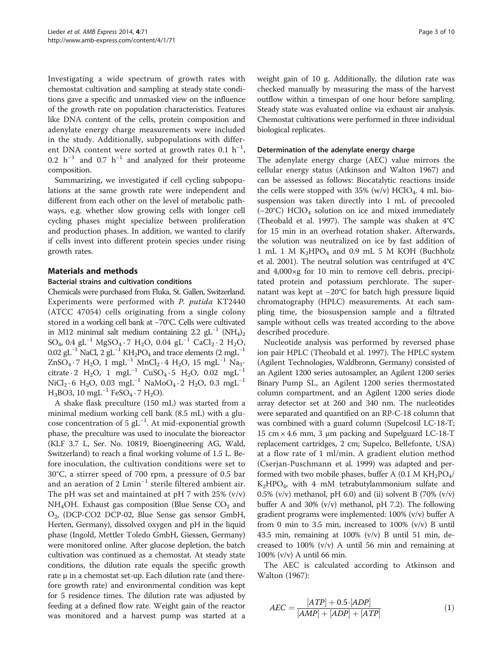Investigating a wide spectrum of growth rates with chemostat cultivation and sampling at steady state conditions gave a specific and unmasked view on the influence of the growth rate on population characteristics. Features like DNA content of the cells, protein composition and adenylate energy charge measurements were included in the study. Additionally, subpopulations with different DNA content were sorted at growth rates  $0.1 h^{-1}$ , 0.2 h<sup>-1</sup> and 0.7 h<sup>-1</sup> and analyzed for their proteome composition.

Summarizing, we investigated if cell cycling subpopulations at the same growth rate were independent and different from each other on the level of metabolic pathways, e.g. whether slow growing cells with longer cell cycling phases might specialize between proliferation and production phases. In addition, we wanted to clarify if cells invest into different protein species under rising growth rates.

## Materials and methods

## Bacterial strains and cultivation conditions

Chemicals were purchased from Fluka, St. Gallen, Switzerland. Experiments were performed with P. putida KT2440 (ATCC 47054) cells originating from a single colony stored in a working cell bank at −70°C. Cells were cultivated in M12 minimal salt medium containing 2.2 gL<sup>-1</sup> (NH<sub>4</sub>)<sub>2</sub> SO<sub>4</sub>, 0.4 gL<sup>-1</sup> MgSO<sub>4</sub> · 7 H<sub>2</sub>O, 0.04 gL<sup>-1</sup> CaCl<sub>2</sub> · 2 H<sub>2</sub>O, 0.02 gL<sup>-1</sup> NaCl, 2 gL<sup>-1</sup> KH<sub>2</sub>PO<sub>4</sub> and trace elements (2 mgL<sup>-1</sup>) ZnSO<sub>4</sub> · 7 H<sub>2</sub>O, 1 mgL<sup>-1</sup> MnCl<sub>2</sub> · 4 H<sub>2</sub>O, 15 mgL<sup>-1</sup> Na<sub>3</sub>citrate · 2 H<sub>2</sub>O, 1 mgL<sup>-1</sup> CuSO<sub>4</sub> · 5 H<sub>2</sub>O, 0.02 mgL<sup>-1</sup> NiCl<sub>2</sub> · 6 H<sub>2</sub>O, 0.03 mgL<sup>-1</sup> NaMoO<sub>4</sub> · 2 H<sub>2</sub>O, 0.3 mgL<sup>-1</sup> H<sub>3</sub>BO3, 10 mgL<sup>-1</sup> FeSO<sub>4</sub> · 7 H<sub>2</sub>O).

A shake flask preculture (150 mL) was started from a minimal medium working cell bank (8.5 mL) with a glucose concentration of 5 gL−<sup>1</sup> . At mid-exponential growth phase, the preculture was used to inoculate the bioreactor (KLF 3.7 L, Ser. No. 10819, Bioengineering AG, Wald, Switzerland) to reach a final working volume of 1.5 L. Before inoculation, the cultivation conditions were set to 30°C, a stirrer speed of 700 rpm, a pressure of 0.5 bar and an aeration of 2 Lmin−<sup>1</sup> sterile filtered ambient air. The pH was set and maintained at pH  $7$  with 25% (v/v)  $NH<sub>4</sub>OH$ . Exhaust gas composition (Blue Sense  $CO<sub>2</sub>$  and O<sub>2</sub>, (DCP-CO2 DCP-02, Blue Sense gas sensor GmbH, Herten, Germany), dissolved oxygen and pH in the liquid phase (Ingold, Mettler Toledo GmbH, Giessen, Germany) were monitored online. After glucose depletion, the batch cultivation was continued as a chemostat. At steady state conditions, the dilution rate equals the specific growth rate  $\mu$  in a chemostat set-up. Each dilution rate (and therefore growth rate) and environmental condition was kept for 5 residence times. The dilution rate was adjusted by feeding at a defined flow rate. Weight gain of the reactor was monitored and a harvest pump was started at a weight gain of 10 g. Additionally, the dilution rate was checked manually by measuring the mass of the harvest outflow within a timespan of one hour before sampling. Steady state was evaluated online via exhaust air analysis. Chemostat cultivations were performed in three individual biological replicates.

## Determination of the adenylate energy charge

The adenylate energy charge (AEC) value mirrors the cellular energy status (Atkinson and Walton [1967](#page-8-0)) and can be assessed as follows: Biocatalytic reactions inside the cells were stopped with 35% (w/v) HClO<sub>4</sub>. 4 mL biosuspension was taken directly into 1 mL of precooled (−20°C) HClO4 solution on ice and mixed immediately (Theobald et al. [1997](#page-9-0)). The sample was shaken at 4°C for 15 min in an overhead rotation shaker. Afterwards, the solution was neutralized on ice by fast addition of 1 mL 1 M  $K_2HPO_4$  and 0.9 mL 5 M KOH (Buchholz et al. [2001\)](#page-8-0). The neutral solution was centrifuged at 4°C and 4,000×g for 10 min to remove cell debris, precipitated protein and potassium perchlorate. The supernatant was kept at −20°C for batch high pressure liquid chromatography (HPLC) measurements. At each sampling time, the biosuspension sample and a filtrated sample without cells was treated according to the above described procedure.

Nucleotide analysis was performed by reversed phase ion pair HPLC (Theobald et al. [1997](#page-9-0)). The HPLC system (Agilent Technologies, Waldbronn, Germany) consisted of an Agilent 1200 series autosampler, an Agilent 1200 series Binary Pump SL, an Agilent 1200 series thermostated column compartment, and an Agilent 1200 series diode array detector set at 260 and 340 nm. The nucleotides were separated and quantified on an RP-C-18 column that was combined with a guard column (Supelcosil LC-18-T; 15 cm × 4.6 mm, 3 μm packing and Supelguard LC-18-T replacement cartridges, 2 cm; Supelco, Bellefonte, USA) at a flow rate of 1 ml/min. A gradient elution method (Cserjan-Puschmann et al. [1999](#page-8-0)) was adapted and performed with two mobile phases, buffer A  $(0.1 \text{ M } KH_2PO_4$ /  $K_2HPO_4$ , with 4 mM tetrabutylammonium sulfate and 0.5% (v/v) methanol, pH 6.0) and (ii) solvent B  $(70\%$  (v/v) buffer A and 30% (v/v) methanol, pH 7.2). The following gradient programs were implemented: 100% (v/v) buffer A from 0 min to 3.5 min, increased to  $100\%$  (v/v) B until 43.5 min, remaining at 100% (v/v) B until 51 min, decreased to 100% (v/v) A until 56 min and remaining at 100% (v/v) A until 66 min.

The AEC is calculated according to Atkinson and Walton [\(1967](#page-8-0)):

$$
AEC = \frac{[ATP] + 0.5 \cdot [ADP]}{[AMP] + [ADP] + [ATP]}
$$
 (1)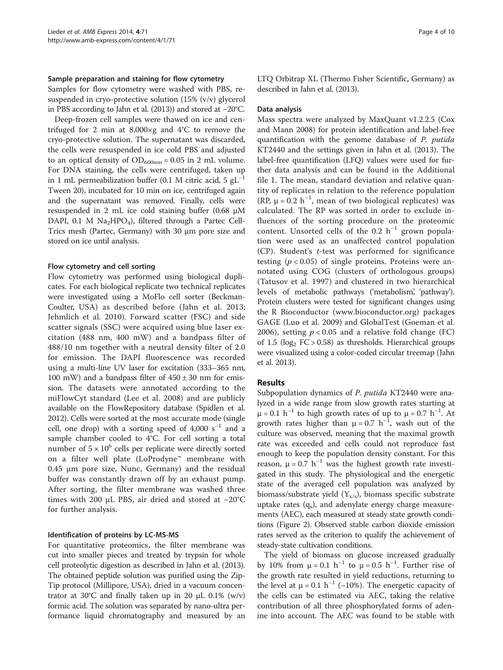## Sample preparation and staining for flow cytometry

Samples for flow cytometry were washed with PBS, resuspended in cryo-protective solution (15% (v/v) glycerol in PBS according to Jahn et al. ([2013\)](#page-8-0)) and stored at −20°C.

Deep-frozen cell samples were thawed on ice and centrifuged for 2 min at 8,000×g and 4°C to remove the cryo-protective solution. The supernatant was discarded, the cells were resuspended in ice cold PBS and adjusted to an optical density of  $OD_{600nm} = 0.05$  in 2 mL volume. For DNA staining, the cells were centrifuged, taken up in 1 mL permeabilization buffer (0.1 M citric acid, 5  $gL^{-1}$ Tween 20), incubated for 10 min on ice, centrifuged again and the supernatant was removed. Finally, cells were resuspended in 2 mL ice cold staining buffer (0.68 μM DAPI, 0.1 M  $Na<sub>2</sub>HPO<sub>4</sub>$ ), filtered through a Partec Cell-Trics mesh (Partec, Germany) with 30 μm pore size and stored on ice until analysis.

## Flow cytometry and cell sorting

Flow cytometry was performed using biological duplicates. For each biological replicate two technical replicates were investigated using a MoFlo cell sorter (Beckman-Coulter, USA) as described before (Jahn et al. [2013](#page-8-0); Jehmlich et al. [2010](#page-8-0)). Forward scatter (FSC) and side scatter signals (SSC) were acquired using blue laser excitation (488 nm, 400 mW) and a bandpass filter of 488/10 nm together with a neutral density filter of 2.0 for emission. The DAPI fluorescence was recorded using a multi-line UV laser for excitation (333–365 nm, 100 mW) and a bandpass filter of  $450 \pm 30$  nm for emission. The datasets were annotated according to the miFlowCyt standard (Lee et al. [2008](#page-8-0)) and are publicly available on the FlowRepository database (Spidlen et al. [2012\)](#page-9-0). Cells were sorted at the most accurate mode (single cell, one drop) with a sorting speed of 4,000 s<sup>-1</sup> and a sample chamber cooled to 4°C. For cell sorting a total number of  $5 \times 10^6$  cells per replicate were directly sorted on a filter well plate (LoProdyne™ membrane with 0.45 μm pore size, Nunc, Germany) and the residual buffer was constantly drawn off by an exhaust pump. After sorting, the filter membrane was washed three times with 200 μL PBS, air dried and stored at −20°C for further analysis.

## Identification of proteins by LC-MS-MS

For quantitative proteomics, the filter membrane was cut into smaller pieces and treated by trypsin for whole cell proteolytic digestion as described in Jahn et al. [\(2013](#page-8-0)). The obtained peptide solution was purified using the Zip-Tip protocol (Millipore, USA), dried in a vacuum concentrator at 30°C and finally taken up in 20 μL 0.1% (w/v) formic acid. The solution was separated by nano-ultra performance liquid chromatography and measured by an LTQ Orbitrap XL (Thermo Fisher Scientific, Germany) as described in Jahn et al. ([2013\)](#page-8-0).

## Data analysis

Mass spectra were analyzed by MaxQuant v1.2.2.5 (Cox and Mann [2008](#page-8-0)) for protein identification and label-free quantification with the genome database of P. putida KT2440 and the settings given in Jahn et al. [\(2013\)](#page-8-0). The label-free quantification (LFQ) values were used for further data analysis and can be found in the Additional file [1.](#page-8-0) The mean, standard deviation and relative quantity of replicates in relation to the reference population (RP,  $\mu = 0.2$  h<sup>-1</sup>, mean of two biological replicates) was calculated. The RP was sorted in order to exclude influences of the sorting procedure on the proteomic content. Unsorted cells of the 0.2  $h^{-1}$  grown population were used as an unaffected control population (CP). Student's t-test was performed for significance testing  $(p < 0.05)$  of single proteins. Proteins were annotated using COG (clusters of orthologous groups) (Tatusov et al. [1997\)](#page-9-0) and clustered in two hierarchical levels of metabolic pathways ('metabolism', 'pathway'). Protein clusters were tested for significant changes using the R Bioconductor [\(www.bioconductor.org](http://www.bioconductor.org)) packages GAGE (Luo et al. [2009\)](#page-9-0) and GlobalTest (Goeman et al. [2006\)](#page-8-0), setting  $p < 0.05$  and a relative fold change (FC) of 1.5 ( $log_2$  FC > 0.58) as thresholds. Hierarchical groups were visualized using a color-coded circular treemap (Jahn et al. [2013](#page-8-0)).

## Results

Subpopulation dynamics of P. putida KT2440 were analyzed in a wide range from slow growth rates starting at  $\mu$  = 0.1 h<sup>-1</sup> to high growth rates of up to  $\mu$  = 0.7 h<sup>-1</sup>. At growth rates higher than  $\mu = 0.7 h^{-1}$ , wash out of the culture was observed, meaning that the maximal growth rate was exceeded and cells could not reproduce fast enough to keep the population density constant. For this reason,  $\mu = 0.7$  h<sup>-1</sup> was the highest growth rate investigated in this study. The physiological and the energetic state of the averaged cell population was analyzed by biomass/substrate yield  $(Y_{x/s})$ , biomass specific substrate uptake rates  $(q_s)$ , and adenylate energy charge measurements (AEC), each measured at steady state growth conditions (Figure [2\)](#page-4-0). Observed stable carbon dioxide emission rates served as the criterion to qualify the achievement of steady-state cultivation conditions.

The yield of biomass on glucose increased gradually by 10% from  $\mu = 0.1 h^{-1}$  to  $\mu = 0.5 h^{-1}$ . Further rise of the growth rate resulted in yield reductions, returning to the level at  $\mu = 0.1$  h<sup>-1</sup> (-10%). The energetic capacity of the cells can be estimated via AEC, taking the relative contribution of all three phosphorylated forms of adenine into account. The AEC was found to be stable with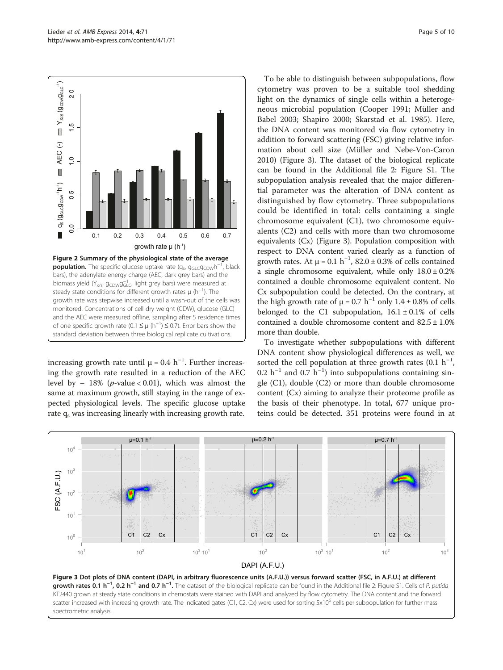<span id="page-4-0"></span>

increasing growth rate until  $\mu = 0.4 \; h^{-1}$ . Further increasing the growth rate resulted in a reduction of the AEC level by  $-18\%$  (*p*-value < 0.01), which was almost the same at maximum growth, still staying in the range of expected physiological levels. The specific glucose uptake rate  $q_s$  was increasing linearly with increasing growth rate.

To be able to distinguish between subpopulations, flow cytometry was proven to be a suitable tool shedding light on the dynamics of single cells within a heterogeneous microbial population (Cooper [1991;](#page-8-0) Müller and Babel [2003;](#page-9-0) Shapiro [2000](#page-9-0); Skarstad et al. [1985](#page-9-0)). Here, the DNA content was monitored via flow cytometry in addition to forward scattering (FSC) giving relative information about cell size (Müller and Nebe-Von-Caron [2010](#page-9-0)) (Figure 3). The dataset of the biological replicate can be found in the Additional file [2:](#page-8-0) Figure S1. The subpopulation analysis revealed that the major differential parameter was the alteration of DNA content as distinguished by flow cytometry. Three subpopulations could be identified in total: cells containing a single chromosome equivalent (C1), two chromosome equivalents (C2) and cells with more than two chromosome equivalents (Cx) (Figure 3). Population composition with respect to DNA content varied clearly as a function of growth rates. At  $\mu = 0.1 h^{-1}$ , 82.0 ± 0.3% of cells contained a single chromosome equivalent, while only  $18.0 \pm 0.2\%$ contained a double chromosome equivalent content. No Cx subpopulation could be detected. On the contrary, at the high growth rate of  $\mu = 0.7$  h<sup>-1</sup> only  $1.4 \pm 0.8\%$  of cells belonged to the C1 subpopulation,  $16.1 \pm 0.1\%$  of cells contained a double chromosome content and  $82.5 \pm 1.0\%$ more than double.

To investigate whether subpopulations with different DNA content show physiological differences as well, we sorted the cell population at three growth rates  $(0.1 h<sup>-1</sup>)$ 0.2  $h^{-1}$  and 0.7  $h^{-1}$ ) into subpopulations containing single (C1), double (C2) or more than double chromosome content (Cx) aiming to analyze their proteome profile as the basis of their phenotype. In total, 677 unique proteins could be detected. 351 proteins were found in at

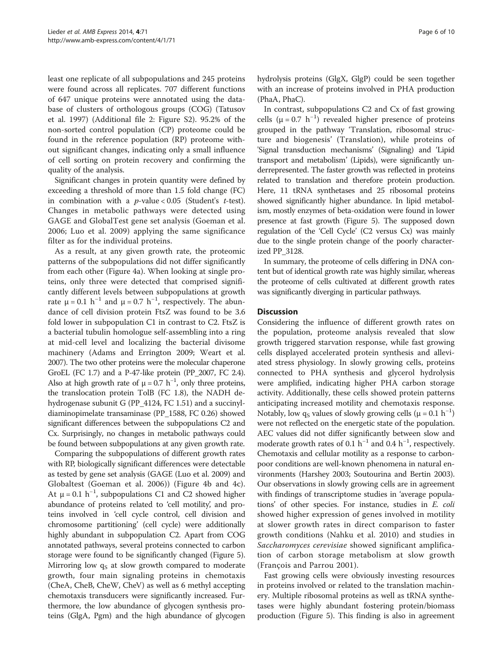least one replicate of all subpopulations and 245 proteins were found across all replicates. 707 different functions of 647 unique proteins were annotated using the database of clusters of orthologous groups (COG) (Tatusov et al. [1997\)](#page-9-0) (Additional file [2](#page-8-0): Figure S2). 95.2% of the non-sorted control population (CP) proteome could be found in the reference population (RP) proteome without significant changes, indicating only a small influence of cell sorting on protein recovery and confirming the quality of the analysis.

Significant changes in protein quantity were defined by exceeding a threshold of more than 1.5 fold change (FC) in combination with a *p*-value < 0.05 (Student's *t*-test). Changes in metabolic pathways were detected using GAGE and GlobalTest gene set analysis (Goeman et al. [2006;](#page-8-0) Luo et al. [2009\)](#page-9-0) applying the same significance filter as for the individual proteins.

As a result, at any given growth rate, the proteomic patterns of the subpopulations did not differ significantly from each other (Figure [4](#page-7-0)a). When looking at single proteins, only three were detected that comprised significantly different levels between subpopulations at growth rate  $\mu = 0.1 h^{-1}$  and  $\mu = 0.7 h^{-1}$ , respectively. The abundance of cell division protein FtsZ was found to be 3.6 fold lower in subpopulation C1 in contrast to C2. FtsZ is a bacterial tubulin homologue self-assembling into a ring at mid-cell level and localizing the bacterial divisome machinery (Adams and Errington [2009;](#page-8-0) Weart et al. [2007](#page-9-0)). The two other proteins were the molecular chaperone GroEL (FC 1.7) and a P-47-like protein (PP\_2007, FC 2.4). Also at high growth rate of  $\mu = 0.7$  h<sup>-1</sup>, only three proteins, the translocation protein TolB (FC 1.8), the NADH dehydrogenase subunit G (PP\_4124, FC 1.51) and a succinyldiaminopimelate transaminase (PP\_1588, FC 0.26) showed significant differences between the subpopulations C2 and Cx. Surprisingly, no changes in metabolic pathways could be found between subpopulations at any given growth rate.

Comparing the subpopulations of different growth rates with RP, biologically significant differences were detectable as tested by gene set analysis (GAGE (Luo et al. [2009\)](#page-9-0) and Globaltest (Goeman et al. [2006\)](#page-8-0)) (Figure [4b](#page-7-0) and [4c](#page-7-0)). At  $\mu = 0.1$  h<sup>-1</sup>, subpopulations C1 and C2 showed higher abundance of proteins related to 'cell motility', and proteins involved in 'cell cycle control, cell division and chromosome partitioning' (cell cycle) were additionally highly abundant in subpopulation C2. Apart from COG annotated pathways, several proteins connected to carbon storage were found to be significantly changed (Figure [5](#page-7-0)). Mirroring low  $q_S$  at slow growth compared to moderate growth, four main signaling proteins in chemotaxis (CheA, CheB, CheW, CheV) as well as 6 methyl accepting chemotaxis transducers were significantly increased. Furthermore, the low abundance of glycogen synthesis proteins (GlgA, Pgm) and the high abundance of glycogen hydrolysis proteins (GlgX, GlgP) could be seen together with an increase of proteins involved in PHA production (PhaA, PhaC).

In contrast, subpopulations C2 and Cx of fast growing cells ( $\mu$  = 0.7 h<sup>-1</sup>) revealed higher presence of proteins grouped in the pathway 'Translation, ribosomal structure and biogenesis' (Translation), while proteins of 'Signal transduction mechanisms' (Signaling) and 'Lipid transport and metabolism' (Lipids), were significantly underrepresented. The faster growth was reflected in proteins related to translation and therefore protein production. Here, 11 tRNA synthetases and 25 ribosomal proteins showed significantly higher abundance. In lipid metabolism, mostly enzymes of beta-oxidation were found in lower presence at fast growth (Figure [5\)](#page-7-0). The supposed down regulation of the 'Cell Cycle' (C2 versus Cx) was mainly due to the single protein change of the poorly characterized PP\_3128.

In summary, the proteome of cells differing in DNA content but of identical growth rate was highly similar, whereas the proteome of cells cultivated at different growth rates was significantly diverging in particular pathways.

## **Discussion**

Considering the influence of different growth rates on the population, proteome analysis revealed that slow growth triggered starvation response, while fast growing cells displayed accelerated protein synthesis and alleviated stress physiology. In slowly growing cells, proteins connected to PHA synthesis and glycerol hydrolysis were amplified, indicating higher PHA carbon storage activity. Additionally, these cells showed protein patterns anticipating increased motility and chemotaxis response. Notably, low  $q_S$  values of slowly growing cells ( $\mu = 0.1$  h<sup>-1</sup>) were not reflected on the energetic state of the population. AEC values did not differ significantly between slow and moderate growth rates of 0.1  $h^{-1}$  and 0.4  $h^{-1}$ , respectively. Chemotaxis and cellular motility as a response to carbonpoor conditions are well-known phenomena in natural environments (Harshey [2003](#page-8-0); Soutourina and Bertin [2003](#page-9-0)). Our observations in slowly growing cells are in agreement with findings of transcriptome studies in 'average populations' of other species. For instance, studies in E. coli showed higher expression of genes involved in motility at slower growth rates in direct comparison to faster growth conditions (Nahku et al. [2010](#page-9-0)) and studies in Saccharomyces cerevisiae showed significant amplification of carbon storage metabolism at slow growth (François and Parrou [2001](#page-8-0)).

Fast growing cells were obviously investing resources in proteins involved or related to the translation machinery. Multiple ribosomal proteins as well as tRNA synthetases were highly abundant fostering protein/biomass production (Figure [5](#page-7-0)). This finding is also in agreement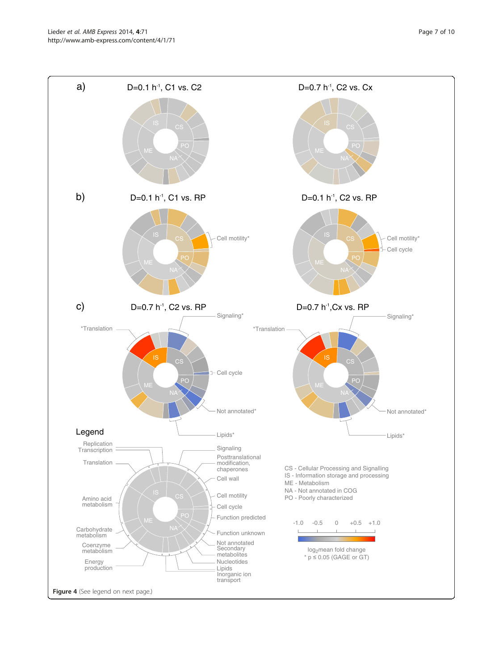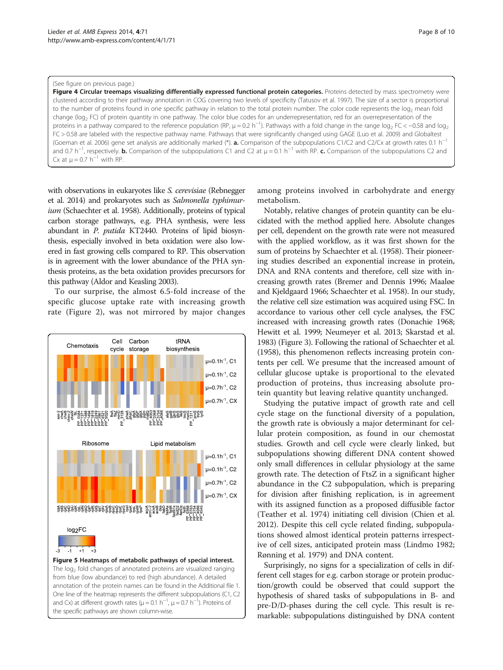#### <span id="page-7-0"></span>(See figure on previous page.)

Figure 4 Circular treemaps visualizing differentially expressed functional protein categories. Proteins detected by mass spectrometry were clustered according to their pathway annotation in COG covering two levels of specificity (Tatusov et al. [1997\)](#page-9-0). The size of a sector is proportional to the number of proteins found in one specific pathway in relation to the total protein number. The color code represents the log<sub>2</sub> mean fold change (log<sub>2</sub> FC) of protein quantity in one pathway. The color blue codes for an underrepresentation, red for an overrepresentation of the proteins in a pathway compared to the reference population (RP,  $\mu$  = 0.2 h<sup>-1</sup>). Pathways with a fold change in the range log<sub>2</sub> FC < -0.58 and log<sub>2</sub> FC > 0.58 are labeled with the respective pathway name. Pathways that were significantly changed using GAGE (Luo et al. [2009](#page-9-0)) and Globaltest (Goeman et al. [2006](#page-8-0)) gene set analysis are additionally marked (\*). **a.** Comparison of the subpopulations C1/C2 and C2/Cx at growth rates 0.1 h<sup>−</sup> and 0.7 h<sup>-1</sup>, respectively. **b.** Comparison of the subpopulations C1 and C2 at  $\mu$  = 0.1 h<sup>-1</sup> with RP. c. Comparison of the subpopulations C2 and Cx at  $\mu = 0.7$  h<sup>-1</sup> with RP.

with observations in eukaryotes like S. cerevisiae (Rebnegger et al. [2014](#page-9-0)) and prokaryotes such as Salmonella typhimur-ium (Schaechter et al. [1958](#page-9-0)). Additionally, proteins of typical carbon storage pathways, e.g. PHA synthesis, were less abundant in P. putida KT2440. Proteins of lipid biosynthesis, especially involved in beta oxidation were also lowered in fast growing cells compared to RP. This observation is in agreement with the lower abundance of the PHA synthesis proteins, as the beta oxidation provides precursors for this pathway (Aldor and Keasling [2003](#page-8-0)).

To our surprise, the almost 6.5-fold increase of the specific glucose uptake rate with increasing growth rate (Figure [2](#page-4-0)), was not mirrored by major changes



the specific pathways are shown column-wise.

among proteins involved in carbohydrate and energy metabolism.

Notably, relative changes of protein quantity can be elucidated with the method applied here. Absolute changes per cell, dependent on the growth rate were not measured with the applied workflow, as it was first shown for the sum of proteins by Schaechter et al. [\(1958\)](#page-9-0). Their pioneering studies described an exponential increase in protein, DNA and RNA contents and therefore, cell size with increasing growth rates (Bremer and Dennis [1996](#page-8-0); Maaløe and Kjeldgaard [1966;](#page-9-0) Schaechter et al. [1958](#page-9-0)). In our study, the relative cell size estimation was acquired using FSC. In accordance to various other cell cycle analyses, the FSC increased with increasing growth rates (Donachie [1968](#page-8-0); Hewitt et al. [1999](#page-8-0); Neumeyer et al. [2013](#page-9-0); Skarstad et al. [1983\)](#page-9-0) (Figure [3](#page-4-0)). Following the rational of Schaechter et al. ([1958](#page-9-0)), this phenomenon reflects increasing protein contents per cell. We presume that the increased amount of cellular glucose uptake is proportional to the elevated production of proteins, thus increasing absolute protein quantity but leaving relative quantity unchanged.

Studying the putative impact of growth rate and cell cycle stage on the functional diversity of a population, the growth rate is obviously a major determinant for cellular protein composition, as found in our chemostat studies. Growth and cell cycle were clearly linked, but subpopulations showing different DNA content showed only small differences in cellular physiology at the same growth rate. The detection of FtsZ in a significant higher abundance in the C2 subpopulation, which is preparing for division after finishing replication, is in agreement with its assigned function as a proposed diffusible factor (Teather et al. [1974](#page-9-0)) initiating cell division (Chien et al. [2012](#page-8-0)). Despite this cell cycle related finding, subpopulations showed almost identical protein patterns irrespective of cell sizes, anticipated protein mass (Lindmo [1982](#page-9-0); Rønning et al. [1979](#page-9-0)) and DNA content.

Surprisingly, no signs for a specialization of cells in different cell stages for e.g. carbon storage or protein production/growth could be observed that could support the hypothesis of shared tasks of subpopulations in B- and pre-D/D-phases during the cell cycle. This result is remarkable: subpopulations distinguished by DNA content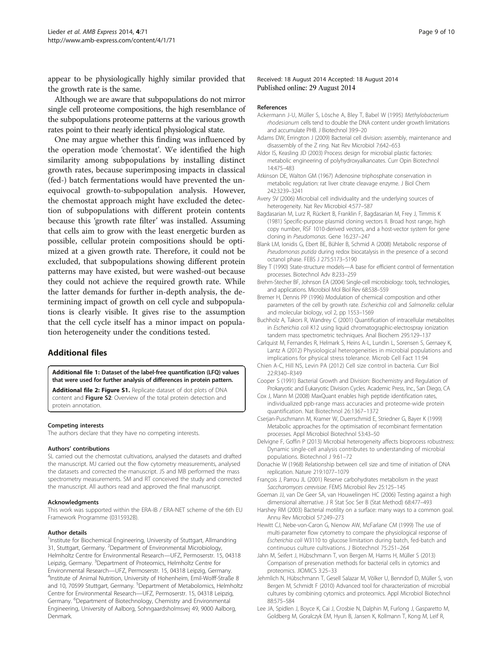<span id="page-8-0"></span>appear to be physiologically highly similar provided that the growth rate is the same.

Although we are aware that subpopulations do not mirror single cell proteome compositions, the high resemblance of the subpopulations proteome patterns at the various growth rates point to their nearly identical physiological state.

One may argue whether this finding was influenced by the operation mode 'chemostat'. We identified the high similarity among subpopulations by installing distinct growth rates, because superimposing impacts in classical (fed-) batch fermentations would have prevented the unequivocal growth-to-subpopulation analysis. However, the chemostat approach might have excluded the detection of subpopulations with different protein contents because this 'growth rate filter' was installed. Assuming that cells aim to grow with the least energetic burden as possible, cellular protein compositions should be optimized at a given growth rate. Therefore, it could not be excluded, that subpopulations showing different protein patterns may have existed, but were washed-out because they could not achieve the required growth rate. While the latter demands for further in-depth analysis, the determining impact of growth on cell cycle and subpopulations is clearly visible. It gives rise to the assumption that the cell cycle itself has a minor impact on population heterogeneity under the conditions tested.

## Additional files

[Additional file 1:](http://www.amb-express.com/content/supplementary/s13568-014-0071-6-s1.docx) Dataset of the label-free quantification (LFQ) values that were used for further analysis of differences in protein pattern.

[Additional file 2:](http://www.amb-express.com/content/supplementary/s13568-014-0071-6-s2.pdf) Figure S1. Replicate dataset of dot plots of DNA content and Figure S2: Overview of the total protein detection and protein annotation.

#### Competing interests

The authors declare that they have no competing interests.

#### Authors' contributions

SL carried out the chemostat cultivations, analysed the datasets and drafted the manuscript. MJ carried out the flow cytometry measurements, analysed the datasets and corrected the manuscript. JS and MB performed the mass spectrometry measurements. SM and RT conceived the study and corrected the manuscript. All authors read and approved the final manuscript.

#### Acknowledgments

This work was supported within the ERA-IB / ERA-NET scheme of the 6th EU Framework Programme (0315932B).

#### Author details

<sup>1</sup>Institute for Biochemical Engineering, University of Stuttgart, Allmandring 31, Stuttgart, Germany. <sup>2</sup>Department of Environmental Microbiology, Helmholtz Centre for Environmental Research—UFZ, Permoserstr. 15, 04318 Leipzig, Germany. <sup>3</sup>Department of Proteomics, Helmholtz Centre for Environmental Research—UFZ, Permoserstr. 15, 04318 Leipzig, Germany. <sup>4</sup> <sup>4</sup>Institute of Animal Nutrition, University of Hohenheim, Emil-Wolff-Straße 8 and 10, 70599 Stuttgart, Germany. <sup>5</sup>Department of Metabolomics, Helmholtz Centre for Environmental Research—UFZ, Permoserstr. 15, 04318 Leipzig, Germany. <sup>6</sup>Department of Biotechnology, Chemistry and Environmental Engineering, University of Aalborg, Sohngaardsholmsvej 49, 9000 Aalborg, Denmark.

#### References

- Ackermann J-U, Müller S, Lösche A, Bley T, Babel W (1995) Methylobacterium rhodesianum cells tend to double the DNA content under growth limitations and accumulate PHB. J Biotechnol 39:9–20
- Adams DW, Errington J (2009) Bacterial cell division: assembly, maintenance and disassembly of the Z ring. Nat Rev Microbiol 7:642–653
- Aldor IS, Keasling JD (2003) Process design for microbial plastic factories: metabolic engineering of polyhydroxyalkanoates. Curr Opin Biotechnol 14:475–483
- Atkinson DE, Walton GM (1967) Adenosine triphosphate conservation in metabolic regulation: rat liver citrate cleavage enzyme. J Biol Chem 242:3239–3241
- Avery SV (2006) Microbial cell individuality and the underlying sources of heterogeneity. Nat Rev Microbiol 4:577–587
- Bagdasarian M, Lurz R, Rückert B, Franklin F, Bagdasarian M, Frey J, Timmis K (1981) Specific-purpose plasmid cloning vectors II. Broad host range, high copy number, RSF 1010-derived vectors, and a host-vector system for gene cloning in Pseudomonas. Gene 16:237–247
- Blank LM, Ionidis G, Ebert BE, Bühler B, Schmid A (2008) Metabolic response of Pseudomonas putida during redox biocatalysis in the presence of a second octanol phase. FEBS J 275:5173–5190
- Bley T (1990) State-structure models—A base for efficient control of fermentation processes. Biotechnol Adv 8:233–259
- Brehm-Stecher BF, Johnson EA (2004) Single-cell microbiology: tools, technologies, and applications. Microbiol Mol Biol Rev 68:538–559
- Bremer H, Dennis PP (1996) Modulation of chemical composition and other parameters of the cell by growth rate. Escherichia coli and Salmonella: cellular and molecular biology, vol 2, pp 1553–1569
- Buchholz A, Takors R, Wandrey C (2001) Quantification of intracellular metabolites in Escherichia coli K12 using liquid chromatographic-electrospray ionization tandem mass spectrometric techniques. Anal Biochem 295:129–137
- Carlquist M, Fernandes R, Helmark S, Heins A-L, Lundin L, Sorensen S, Gernaey K, Lantz A (2012) Physiological heterogeneities in microbial populations and implications for physical stress tolerance. Microb Cell Fact 11:94
- Chien A-C, Hill NS, Levin PA (2012) Cell size control in bacteria. Curr Biol 22:R340–R349
- Cooper S (1991) Bacterial Growth and Division: Biochemistry and Regulation of Prokaryotic and Eukaryotic Division Cycles. Academic Press, Inc., San Diego, CA
- Cox J, Mann M (2008) MaxQuant enables high peptide identification rates, individualized ppb-range mass accuracies and proteome-wide protein quantification. Nat Biotechnol 26:1367–1372
- Cserjan-Puschmann M, Kramer W, Duerrschmid E, Striedner G, Bayer K (1999) Metabolic approaches for the optimisation of recombinant fermentation processes. Appl Microbiol Biotechnol 53:43–50
- Delvigne F, Goffin P (2013) Microbial heterogeneity affects bioprocess robustness: Dynamic single-cell analysis contributes to understanding of microbial populations. Biotechnol J 9:61–72
- Donachie W (1968) Relationship between cell size and time of initiation of DNA replication. Nature 219:1077–1079
- François J, Parrou JL (2001) Reserve carbohydrates metabolism in the yeast Saccharomyces cerevisiae. FEMS Microbiol Rev 25:125–145
- Goeman JJ, van De Geer SA, van Houwelingen HC (2006) Testing against a high dimensional alternative. J R Stat Soc Ser B (Stat Method) 68:477–493
- Harshey RM (2003) Bacterial motility on a surface: many ways to a common goal. Annu Rev Microbiol 57:249–273
- Hewitt CJ, Nebe-von-Caron G, Nienow AW, McFarlane CM (1999) The use of multi-parameter flow cytometry to compare the physiological response of Escherichia coli W3110 to glucose limitation during batch, fed-batch and continuous culture cultivations. J Biotechnol 75:251–264
- Jahn M, Seifert J, Hübschmann T, von Bergen M, Harms H, Müller S (2013) Comparison of preservation methods for bacterial cells in cytomics and proteomics. JIOMICS 3:25–33
- Jehmlich N, Hübschmann T, Gesell Salazar M, Völker U, Benndorf D, Müller S, von Bergen M, Schmidt F (2010) Advanced tool for characterization of microbial cultures by combining cytomics and proteomics. Appl Microbiol Biotechnol 88:575–584
- Lee JA, Spidlen J, Boyce K, Cai J, Crosbie N, Dalphin M, Furlong J, Gasparetto M, Goldberg M, Goralczyk EM, Hyun B, Jansen K, Kollmann T, Kong M, Leif R,